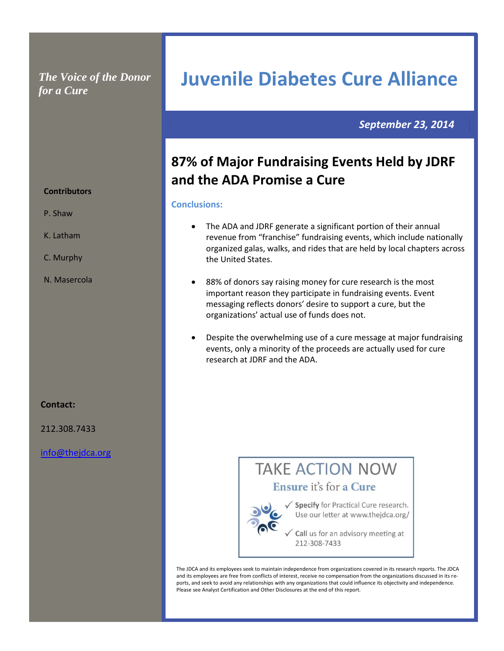### *The Voice of the Donor for a Cure*

### *September 23, 2014*

## **87% of Major Fundraising Events Held by JDRF and the ADA Promise a Cure**

**Juvenile Diabetes Cure Alliance**

### **Conclusions:**

- The ADA and JDRF generate a significant portion of their annual revenue from "franchise" fundraising events, which include nationally organized galas, walks, and rides that are held by local chapters across the United States.
- 88% of donors say raising money for cure research is the most important reason they participate in fundraising events. Event messaging reflects donors' desire to support a cure, but the organizations' actual use of funds does not.
- Despite the overwhelming use of a cure message at major fundraising events, only a minority of the proceeds are actually used for cure research at JDRF and the ADA.

# **TAKE ACTION NOW**

Ensure it's for a Cure

√ Specify for Practical Cure research. Use our letter at www.thejdca.org/

Call us for an advisory meeting at 212-308-7433

The JDCA and its employees seek to maintain independence from organizations covered in its research reports. The JDCA and its employees are free from conflicts of interest, receive no compensation from the organizations discussed in its reports, and seek to avoid any relationships with any organizations that could influence its objectivity and independence. Please see Analyst Certification and Other Disclosures at the end of this report.

### **Contributors**

- P. Shaw
- K. Latham
- C. Murphy
- N. Masercola

### **Contact:**

212.308.7433

[info@thejdca.org](mailto:info@thejdca.org)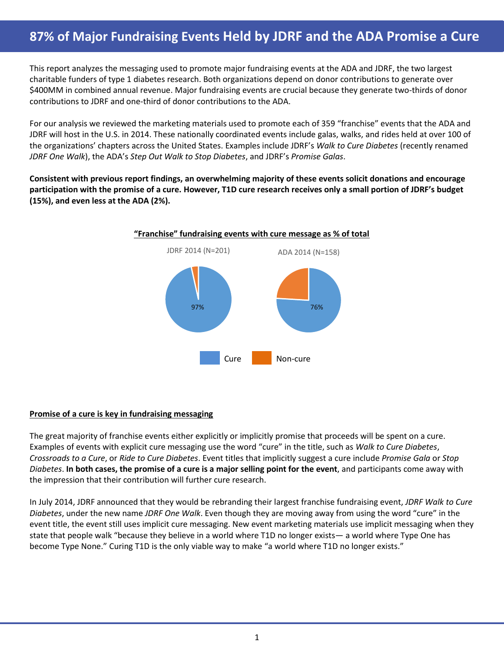### **87% of Major Fundraising Events Held by JDRF and the ADA Promise a Cure 87% of Major Fundraising Events Held by JDRF and the ADA Promise a Cure**

This report analyzes the messaging used to promote major fundraising events at the ADA and JDRF, the two largest charitable funders of type 1 diabetes research. Both organizations depend on donor contributions to generate over \$400MM in combined annual revenue. Major fundraising events are crucial because they generate two-thirds of donor contributions to JDRF and one-third of donor contributions to the ADA.

For our analysis we reviewed the marketing materials used to promote each of 359 "franchise" events that the ADA and JDRF will host in the U.S. in 2014. These nationally coordinated events include galas, walks, and rides held at over 100 of the organizations' chapters across the United States. Examples include JDRF's *Walk to Cure Diabetes* (recently renamed *JDRF One Walk*), the ADA's *Step Out Walk to Stop Diabetes*, and JDRF's *Promise Galas*.

**Consistent with previous report findings, an overwhelming majority of these events solicit donations and encourage participation with the promise of a cure. However, T1D cure research receives only a small portion of JDRF's budget (15%), and even less at the ADA (2%).**



### **Promise of a cure is key in fundraising messaging**

The great majority of franchise events either explicitly or implicitly promise that proceeds will be spent on a cure. Examples of events with explicit cure messaging use the word "cure" in the title, such as *Walk to Cure Diabetes*, *Crossroads to a Cure*, or *Ride to Cure Diabetes*. Event titles that implicitly suggest a cure include *Promise Gala* or *Stop Diabetes*. **In both cases, the promise of a cure is a major selling point for the event**, and participants come away with the impression that their contribution will further cure research.

In July 2014, JDRF announced that they would be rebranding their largest franchise fundraising event, *JDRF Walk to Cure Diabetes*, under the new name *JDRF One Walk*. Even though they are moving away from using the word "cure" in the event title, the event still uses implicit cure messaging. New event marketing materials use implicit messaging when they state that people walk "because they believe in a world where T1D no longer exists— a world where Type One has become Type None." Curing T1D is the only viable way to make "a world where T1D no longer exists."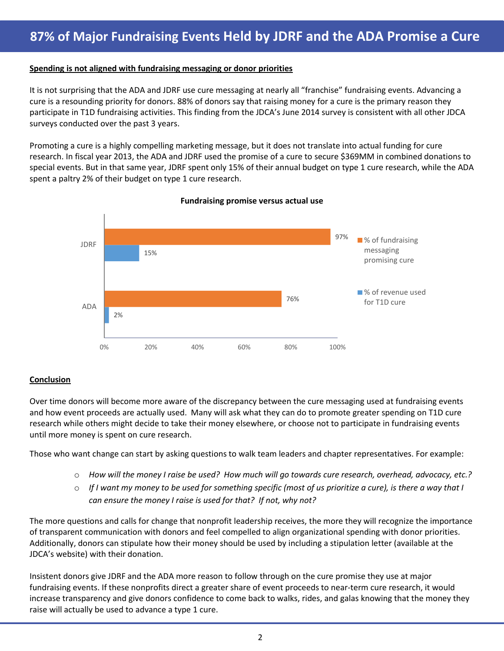### **Spending is not aligned with fundraising messaging or donor priorities**

It is not surprising that the ADA and JDRF use cure messaging at nearly all "franchise" fundraising events. Advancing a cure is a resounding priority for donors. 88% of donors say that raising money for a cure is the primary reason they participate in T1D fundraising activities. This finding from the JDCA's June 2014 survey is consistent with all other JDCA surveys conducted over the past 3 years.

Promoting a cure is a highly compelling marketing message, but it does not translate into actual funding for cure research. In fiscal year 2013, the ADA and JDRF used the promise of a cure to secure \$369MM in combined donations to special events. But in that same year, JDRF spent only 15% of their annual budget on type 1 cure research, while the ADA spent a paltry 2% of their budget on type 1 cure research.



**Fundraising promise versus actual use**

### **Conclusion**

Over time donors will become more aware of the discrepancy between the cure messaging used at fundraising events and how event proceeds are actually used. Many will ask what they can do to promote greater spending on T1D cure research while others might decide to take their money elsewhere, or choose not to participate in fundraising events until more money is spent on cure research.

Those who want change can start by asking questions to walk team leaders and chapter representatives. For example:

- o *How will the money I raise be used? How much will go towards cure research, overhead, advocacy, etc.?*
- o *If I want my money to be used for something specific (most of us prioritize a cure), is there a way that I can ensure the money I raise is used for that? If not, why not?*

The more questions and calls for change that nonprofit leadership receives, the more they will recognize the importance of transparent communication with donors and feel compelled to align organizational spending with donor priorities. Additionally, donors can stipulate how their money should be used by including a stipulation letter (available at the JDCA's website) with their donation.

Insistent donors give JDRF and the ADA more reason to follow through on the cure promise they use at major fundraising events. If these nonprofits direct a greater share of event proceeds to near-term cure research, it would increase transparency and give donors confidence to come back to walks, rides, and galas knowing that the money they raise will actually be used to advance a type 1 cure.